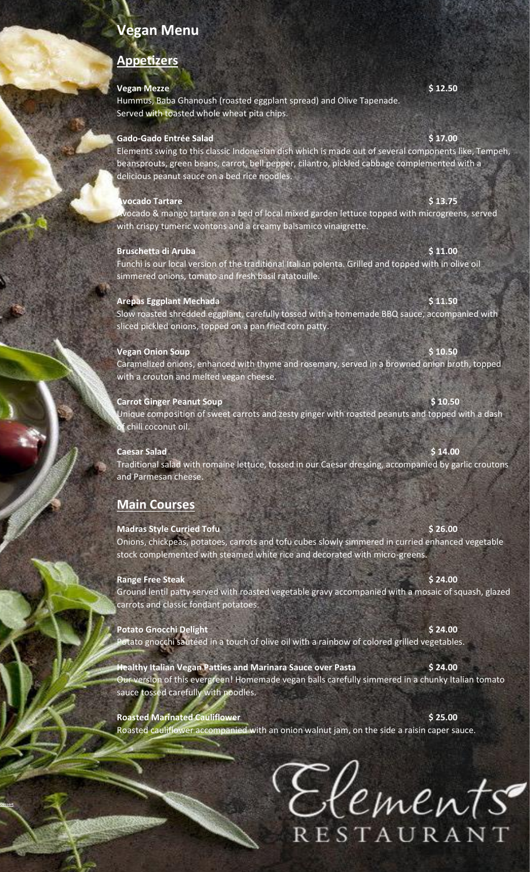# **Vegan Menu**

# **Appetizers**

### **Vegan Mezze** \$ 12.50

Hummus, Baba Ghanoush (roasted eggplant spread) and Olive Tapenade. Served with toasted whole wheat pita chips.

## **Gado-Gado Entrée Salad \$ 17.00**

Elements swing to this classic Indonesian dish which is made out of several components like, Tempeh, beansprouts, green beans, carrot, bell pepper, cilantro, pickled cabbage complemented with a delicious peanut sauce on a bed rice noodles.

## **Avocado Tartare \$ 13.75**

Avocado & mango tartare on a bed of local mixed garden lettuce topped with microgreens, served with crispy tumeric wontons and a creamy balsamico vinaigrette.

## **Bruschetta di Aruba** \$ 11.00

Funchi is our local version of the traditional Italian polenta. Grilled and topped with in olive oil simmered onions, tomato and fresh basil ratatouille.

# **Arepas Eggplant Mechada \$ 11.50**

Slow roasted shredded eggplant, carefully tossed with a homemade BBQ sauce, accompanied with sliced pickled onions, topped on a pan fried corn patty.

# **Vegan Onion Soup 6 10.50 \$ 10.50**

Caramelized onions, enhanced with thyme and rosemary, served in a browned onion broth, topped with a crouton and melted vegan cheese.

# **Carrot Ginger Peanut Soup by Carrot Ginger Peanut Soup**

Unique composition of sweet carrots and zesty ginger with roasted peanuts and topped with a dash f chili coconut oil.

# **Caesar Salad \$ 14.00**

Traditional salad with romaine lettuce, tossed in our Caesar dressing, accompanied by garlic croutons and Parmesan cheese.

# **Main Courses**

## **Madras Style Curried Tofu <b>\$26.00** \$26.00

Onions, chickpeas, potatoes, carrots and tofu cubes slowly simmered in curried enhanced vegetable stock complemented with steamed white rice and decorated with micro-greens.

### **Range Free Steak \$ 24.00**

**Dessert**

Ground lentil patty served with roasted vegetable gravy accompanied with a mosaic of squash, glazed carrots and classic fondant potatoes.

**Potato Gnocchi Delight \$ 24.00** Potato gnocchi sautéed in a touch of olive oil with a rainbow of colored grilled vegetables.

**Healthy Italian Vegan Patties and Marinara Sauce over Pasta \$ 24.00** Our version of this evergreen! Homemade vegan balls carefully simmered in a chunky Italian tomato sauce tossed carefully with noodles.

**Roasted Marinated Cauliflower 8 and 25 and 36 and 36 and 36 and 36 and 36 and 36 and 36 and 36 and 36 and 36 and 36 and 36 and 36 and 36 and 36 and 36 and 36 and 36 and 36 and 36 and 36 and 36 and 36 and 36 and 36 and 3** Roasted cauliflower accompanied with an onion walnut jam, on the side a raisin caper sauce.